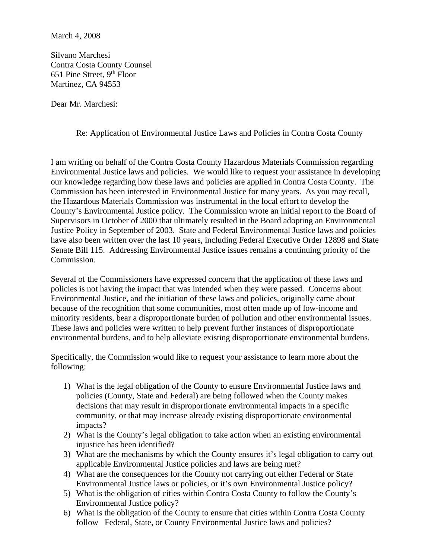Silvano Marchesi Contra Costa County Counsel 651 Pine Street,  $9<sup>th</sup>$  Floor Martinez, CA 94553

Dear Mr. Marchesi:

## Re: Application of Environmental Justice Laws and Policies in Contra Costa County

I am writing on behalf of the Contra Costa County Hazardous Materials Commission regarding Environmental Justice laws and policies. We would like to request your assistance in developing our knowledge regarding how these laws and policies are applied in Contra Costa County. The Commission has been interested in Environmental Justice for many years. As you may recall, the Hazardous Materials Commission was instrumental in the local effort to develop the County's Environmental Justice policy. The Commission wrote an initial report to the Board of Supervisors in October of 2000 that ultimately resulted in the Board adopting an Environmental Justice Policy in September of 2003. State and Federal Environmental Justice laws and policies have also been written over the last 10 years, including Federal Executive Order 12898 and State Senate Bill 115. Addressing Environmental Justice issues remains a continuing priority of the Commission.

Several of the Commissioners have expressed concern that the application of these laws and policies is not having the impact that was intended when they were passed. Concerns about Environmental Justice, and the initiation of these laws and policies, originally came about because of the recognition that some communities, most often made up of low-income and minority residents, bear a disproportionate burden of pollution and other environmental issues. These laws and policies were written to help prevent further instances of disproportionate environmental burdens, and to help alleviate existing disproportionate environmental burdens.

Specifically, the Commission would like to request your assistance to learn more about the following:

- 1) What is the legal obligation of the County to ensure Environmental Justice laws and policies (County, State and Federal) are being followed when the County makes decisions that may result in disproportionate environmental impacts in a specific community, or that may increase already existing disproportionate environmental impacts?
- 2) What is the County's legal obligation to take action when an existing environmental injustice has been identified?
- 3) What are the mechanisms by which the County ensures it's legal obligation to carry out applicable Environmental Justice policies and laws are being met?
- 4) What are the consequences for the County not carrying out either Federal or State Environmental Justice laws or policies, or it's own Environmental Justice policy?
- 5) What is the obligation of cities within Contra Costa County to follow the County's Environmental Justice policy?
- 6) What is the obligation of the County to ensure that cities within Contra Costa County follow Federal, State, or County Environmental Justice laws and policies?